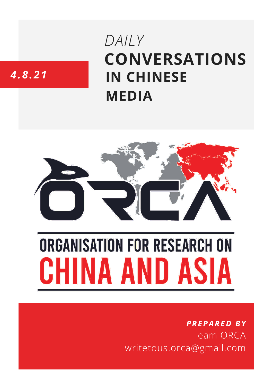# **CONVERSATIONS IN CHINESE MEDIA** *DAILY*

# *4.8.21*



# **ORGANISATION FOR RESEARCH ON** HINA AND ASIA

## *PREPARED BY* Team ORCA writetous.orca@gmail.com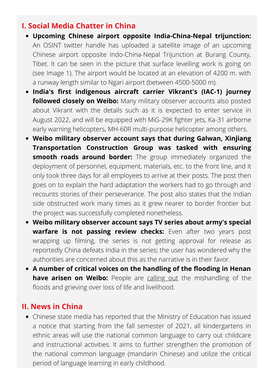#### **I. Social Media Chatter in China**

- **Upcoming Chinese airport opposite India-China-Nepal trijunction:** An OSINT twitter handle has uploaded a satellite image of an upcoming Chinese airport opposite Indo-China-Nepal Trijunction at Burang County, Tibet. It can be seen in the picture that surface levelling work is going on (see Image 1). The airport would be located at an elevation of 4200 m. with a runway length similar to Ngari airport (between 4500-5000 m).
- **India's first indigenous aircraft carrier Vikrant's (IAC-1) journey followed closely on Weibo:** Many military observer accounts also posted about Vikrant with the details such as it is expected to enter service in August 2022, and will be equipped with MiG-29K fighter jets, Ka-31 airborne early warning helicopters, MH-60R multi-purpose helicopter among others.
- **Weibo military observer account says that during Galwan, Xinjiang Transportation Construction Group was tasked with ensuring smooth roads around border:** The group immediately organized the deployment of personnel, equipment, materials, etc. to the front line, and it only took three days for all employees to arrive at their posts. The post then goes on to explain the hard adaptation the workers had to go through and recounts stories of their perseverance. The post also states that the Indian side obstructed work many times as it grew nearer to border frontier but the project was successfully completed nonetheless.
- **Weibo military observer account says TV series about army's special warfare is not passing review checks:** Even after two years post wrapping up filming, the series is not getting approval for release as reportedly China defeats India in the series; the user has wondered why the authorities are concerned about this as the narrative is in their favor.
- **A number of critical voices on the handling of the flooding in Henan have arisen on Weibo:** People are [calling](https://chinadigitaltimes.net/2021/08/translation-compilation-my-husband-john-doe-camera-crimes-zhengzhous-men-in-black-our-media-was-brave-once-alternative-voices-on-henans-floods/) out the mishandling of the floods and grieving over loss of life and livelihood.

#### **II. News in China**

Chinese state media has reported that the Ministry of Education has issued a notice that starting from the fall semester of 2021, all kindergartens in ethnic areas will use the national common language to carry out childcare and instructional activities. It aims to further strengthen the promotion of the national common language (mandarin Chinese) and utilize the critical period of language learning in early childhood.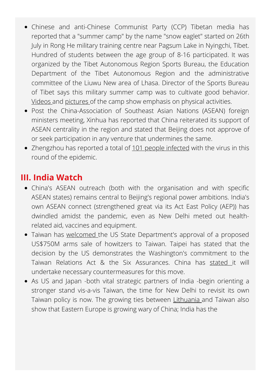- Chinese and anti-Chinese Communist Party (CCP) Tibetan media has reported that a "summer camp" by the name "snow eaglet" started on 26th July in Rong He military training centre near Pagsum Lake in Nyingchi, Tibet. Hundred of students between the age group of 8-16 participated. It was organized by the Tibet Autonomous Region Sports Bureau, the Education Department of the Tibet Autonomous Region and the administrative committee of the Liuwu New area of Lhasa. Director of the Sports Bureau of Tibet says this military summer camp was to cultivate good behavior. [Videos](https://vimeo.com/582428376) and [pictures](https://freetibet.org/news-media/na/new-military-education-camps-tibet%E2%80%99s-youth-constructed-nyingtri) of the camp show emphasis on physical activities.
- Post the China-Association of Southeast Asian Nations (ASEAN) foreign ministers meeting, Xinhua has reported that China reiterated its support of ASEAN centrality in the region and stated that Beijing does not approve of or seek participation in any venture that undermines the same.
- Zhengzhou has reported a total of 101 people [infected](https://www.guancha.cn/politics/2021_08_04_601681_s.shtml) with the virus in this round of the epidemic.

### **III. India Watch**

- China's ASEAN outreach (both with the organisation and with specific ASEAN states) remains central to Beijing's regional power ambitions. India's own ASEAN connect (strengthened great via its Act East Policy (AEP)) has dwindled amidst the pandemic, even as New Delhi meted out healthrelated aid, vaccines and equipment.
- Taiwan has [welcomed](https://twitter.com/MOFA_Taiwan/status/1423052183973466113) the US State Department's approval of a proposed US\$750M arms sale of howitzers to Taiwan. Taipei has stated that the decision by the US demonstrates the Washington's commitment to the Taiwan Relations Act & the Six Assurances. China has [stated](https://www.zaobao.com.sg/realtime/china/story20210805-1178397) it will undertake necessary countermeasures for this move.
- As US and Japan -both vital strategic partners of India -begin orienting a stronger stand vis-a-vis Taiwan, the time for New Delhi to revisit its own Taiwan policy is now. The growing ties between [Lithuania](https://asia.nikkei.com/Politics/International-relations/Lithuania-warms-to-Taiwan-as-Eastern-Europe-grows-wary-of-China) and Taiwan also show that Eastern Europe is growing wary of China; India has the